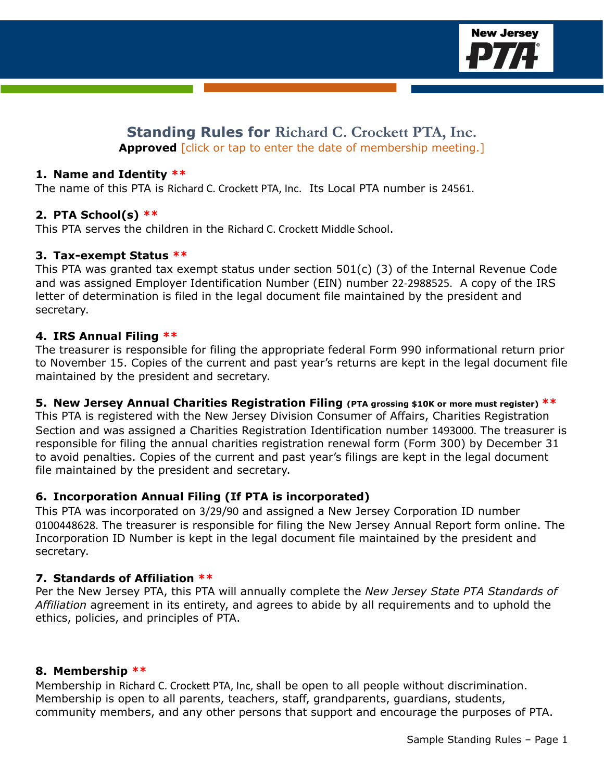

# **Standing Rules for Richard C. Crockett PTA, Inc. Approved [click or tap to enter the date of membership meeting.]**

#### **1. Name and Identity \*\***

The name of this PTA is Richard C. Crockett PTA, Inc. Its Local PTA number is 24561.

### **2. PTA School(s) \*\***

This PTA serves the children in the Richard C. Crockett Middle School.

#### **3. Tax-exempt Status \*\***

This PTA was granted tax exempt status under section 501(c) (3) of the Internal Revenue Code and was assigned Employer Identification Number (EIN) number 22-2988525. A copy of the IRS letter of determination is filed in the legal document file maintained by the president and secretary.

#### **4. IRS Annual Filing \*\***

The treasurer is responsible for filing the appropriate federal Form 990 informational return prior to November 15. Copies of the current and past year's returns are kept in the legal document file maintained by the president and secretary.

#### **5. New Jersey Annual Charities Registration Filing (PTA grossing \$10K or more must register) \*\***

This PTA is registered with the New Jersey Division Consumer of Affairs, Charities Registration Section and was assigned a Charities Registration Identification number 1493000. The treasurer is responsible for filing the annual charities registration renewal form (Form 300) by December 31 to avoid penalties. Copies of the current and past year's filings are kept in the legal document file maintained by the president and secretary.

#### **6. Incorporation Annual Filing (If PTA is incorporated)**

This PTA was incorporated on 3/29/90 and assigned a New Jersey Corporation ID number 0100448628. The treasurer is responsible for filing the New Jersey Annual Report form online. The Incorporation ID Number is kept in the legal document file maintained by the president and secretary.

#### **7. Standards of Affiliation \*\***

Per the New Jersey PTA, this PTA will annually complete the *New Jersey State PTA Standards of Affiliation* agreement in its entirety, and agrees to abide by all requirements and to uphold the ethics, policies, and principles of PTA.

#### **8. Membership \*\***

Membership in Richard C. Crockett PTA, Inc, shall be open to all people without discrimination. Membership is open to all parents, teachers, staff, grandparents, guardians, students, community members, and any other persons that support and encourage the purposes of PTA.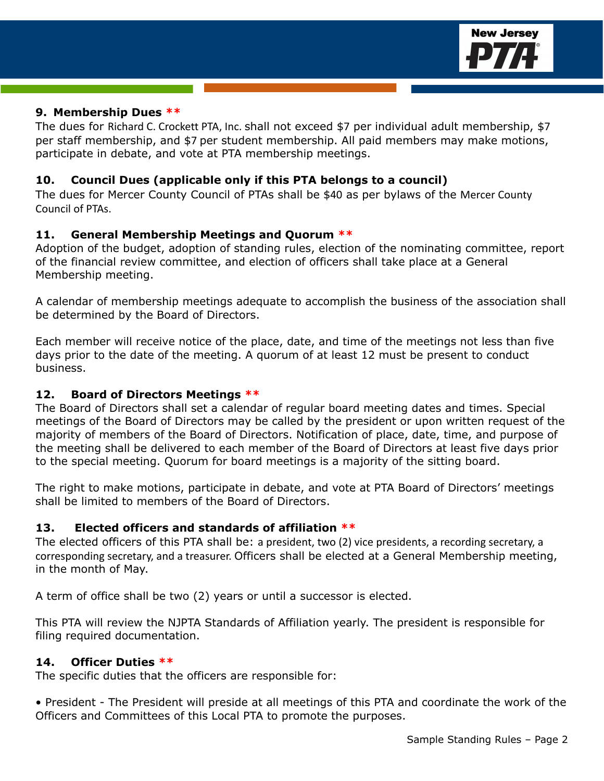

#### **9. Membership Dues \*\***

The dues for Richard C. Crockett PTA, Inc. shall not exceed \$7 per individual adult membership, \$7 per staff membership, and \$7 per student membership. All paid members may make motions, participate in debate, and vote at PTA membership meetings.

### **10. Council Dues (applicable only if this PTA belongs to a council)**

The dues for Mercer County Council of PTAs shall be \$40 as per bylaws of the Mercer County Council of PTAs.

# **11. General Membership Meetings and Quorum \*\***

Adoption of the budget, adoption of standing rules, election of the nominating committee, report of the financial review committee, and election of officers shall take place at a General Membership meeting.

A calendar of membership meetings adequate to accomplish the business of the association shall be determined by the Board of Directors.

Each member will receive notice of the place, date, and time of the meetings not less than five days prior to the date of the meeting. A quorum of at least 12 must be present to conduct business.

## **12. Board of Directors Meetings \*\***

The Board of Directors shall set a calendar of regular board meeting dates and times. Special meetings of the Board of Directors may be called by the president or upon written request of the majority of members of the Board of Directors. Notification of place, date, time, and purpose of the meeting shall be delivered to each member of the Board of Directors at least five days prior to the special meeting. Quorum for board meetings is a majority of the sitting board.

The right to make motions, participate in debate, and vote at PTA Board of Directors' meetings shall be limited to members of the Board of Directors.

### **13. Elected officers and standards of affiliation \*\***

The elected officers of this PTA shall be: a president, two (2) vice presidents, a recording secretary, a corresponding secretary, and a treasurer. Officers shall be elected at a General Membership meeting, in the month of May.

A term of office shall be two (2) years or until a successor is elected.

This PTA will review the NJPTA Standards of Affiliation yearly. The president is responsible for filing required documentation.

### **14. Officer Duties \*\***

The specific duties that the officers are responsible for:

• President - The President will preside at all meetings of this PTA and coordinate the work of the Officers and Committees of this Local PTA to promote the purposes.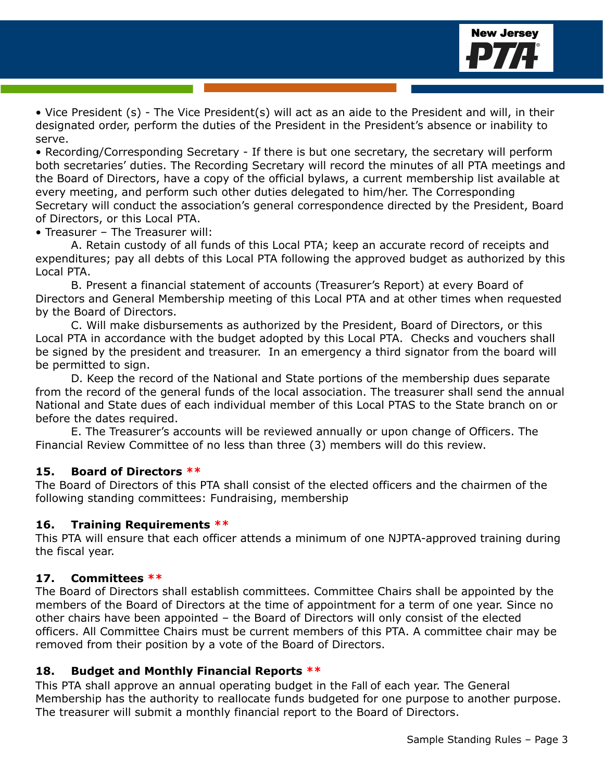

• Vice President (s) - The Vice President(s) will act as an aide to the President and will, in their designated order, perform the duties of the President in the President's absence or inability to serve.

• Recording/Corresponding Secretary - If there is but one secretary, the secretary will perform both secretaries' duties. The Recording Secretary will record the minutes of all PTA meetings and the Board of Directors, have a copy of the official bylaws, a current membership list available at every meeting, and perform such other duties delegated to him/her. The Corresponding Secretary will conduct the association's general correspondence directed by the President, Board of Directors, or this Local PTA.

• Treasurer – The Treasurer will:

A. Retain custody of all funds of this Local PTA; keep an accurate record of receipts and expenditures; pay all debts of this Local PTA following the approved budget as authorized by this Local PTA.

B. Present a financial statement of accounts (Treasurer's Report) at every Board of Directors and General Membership meeting of this Local PTA and at other times when requested by the Board of Directors.

C. Will make disbursements as authorized by the President, Board of Directors, or this Local PTA in accordance with the budget adopted by this Local PTA. Checks and vouchers shall be signed by the president and treasurer. In an emergency a third signator from the board will be permitted to sign.

D. Keep the record of the National and State portions of the membership dues separate from the record of the general funds of the local association. The treasurer shall send the annual National and State dues of each individual member of this Local PTAS to the State branch on or before the dates required.

E. The Treasurer's accounts will be reviewed annually or upon change of Officers. The Financial Review Committee of no less than three (3) members will do this review.

### **15. Board of Directors \*\***

The Board of Directors of this PTA shall consist of the elected officers and the chairmen of the following standing committees: Fundraising, membership

#### **16. Training Requirements \*\***

This PTA will ensure that each officer attends a minimum of one NJPTA-approved training during the fiscal year.

### **17. Committees \*\***

The Board of Directors shall establish committees. Committee Chairs shall be appointed by the members of the Board of Directors at the time of appointment for a term of one year. Since no other chairs have been appointed – the Board of Directors will only consist of the elected officers. All Committee Chairs must be current members of this PTA. A committee chair may be removed from their position by a vote of the Board of Directors.

#### **18. Budget and Monthly Financial Reports \*\***

This PTA shall approve an annual operating budget in the Fall of each year. The General Membership has the authority to reallocate funds budgeted for one purpose to another purpose. The treasurer will submit a monthly financial report to the Board of Directors.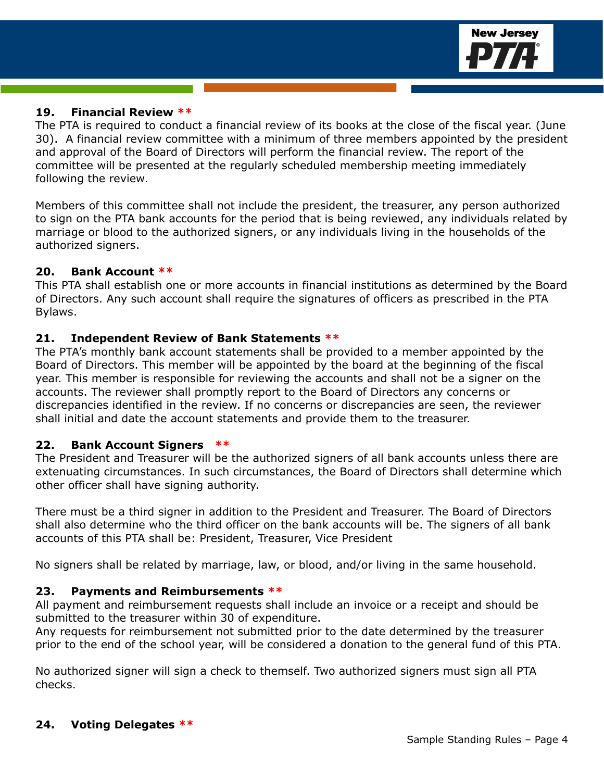

### **19. Financial Review \*\***

The PTA is required to conduct a financial review of its books at the close of the fiscal year. (June 30). A financial review committee with a minimum of three members appointed by the president and approval of the Board of Directors will perform the financial review. The report of the committee will be presented at the regularly scheduled membership meeting immediately following the review.

Members of this committee shall not include the president, the treasurer, any person authorized to sign on the PTA bank accounts for the period that is being reviewed, any individuals related by marriage or blood to the authorized signers, or any individuals living in the households of the authorized signers.

### **20. Bank Account \*\***

This PTA shall establish one or more accounts in financial institutions as determined by the Board of Directors. Any such account shall require the signatures of officers as prescribed in the PTA Bylaws.

### **21. Independent Review of Bank Statements \*\***

The PTA's monthly bank account statements shall be provided to a member appointed by the Board of Directors. This member will be appointed by the board at the beginning of the fiscal year. This member is responsible for reviewing the accounts and shall not be a signer on the accounts. The reviewer shall promptly report to the Board of Directors any concerns or discrepancies identified in the review. If no concerns or discrepancies are seen, the reviewer shall initial and date the account statements and provide them to the treasurer.

### **22. Bank Account Signers \*\***

The President and Treasurer will be the authorized signers of all bank accounts unless there are extenuating circumstances. In such circumstances, the Board of Directors shall determine which other officer shall have signing authority.

There must be a third signer in addition to the President and Treasurer. The Board of Directors shall also determine who the third officer on the bank accounts will be. The signers of all bank accounts of this PTA shall be: President, Treasurer, Vice President

No signers shall be related by marriage, law, or blood, and/or living in the same household.

### **23. Payments and Reimbursements \*\***

All payment and reimbursement requests shall include an invoice or a receipt and should be submitted to the treasurer within 30 of expenditure.

Any requests for reimbursement not submitted prior to the date determined by the treasurer prior to the end of the school year, will be considered a donation to the general fund of this PTA.

No authorized signer will sign a check to themself. Two authorized signers must sign all PTA checks.